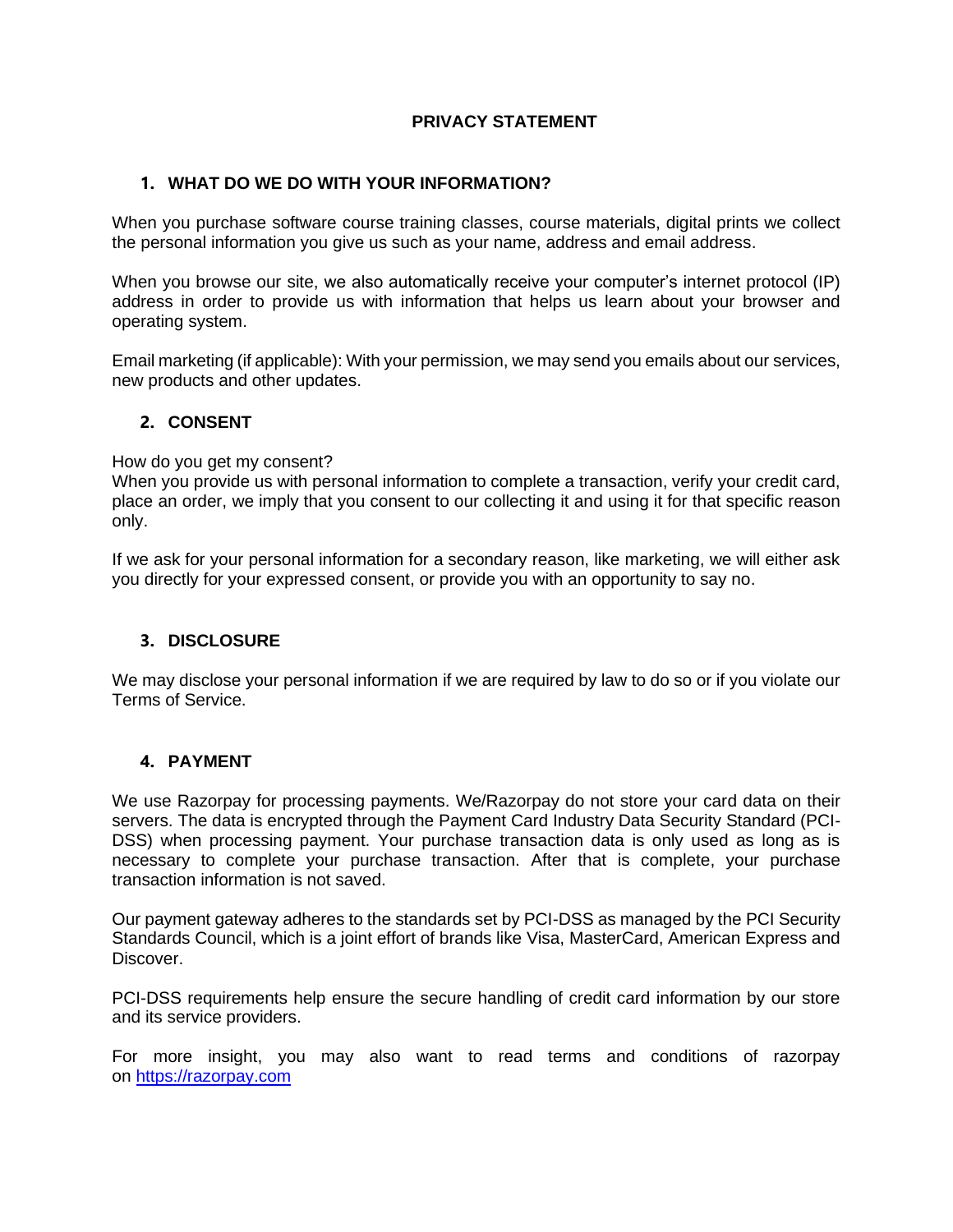# **PRIVACY STATEMENT**

## **1. WHAT DO WE DO WITH YOUR INFORMATION?**

When you purchase software course training classes, course materials, digital prints we collect the personal information you give us such as your name, address and email address.

When you browse our site, we also automatically receive your computer's internet protocol (IP) address in order to provide us with information that helps us learn about your browser and operating system.

Email marketing (if applicable): With your permission, we may send you emails about our services, new products and other updates.

### **2. CONSENT**

#### How do you get my consent?

When you provide us with personal information to complete a transaction, verify your credit card, place an order, we imply that you consent to our collecting it and using it for that specific reason only.

If we ask for your personal information for a secondary reason, like marketing, we will either ask you directly for your expressed consent, or provide you with an opportunity to say no.

### **3. DISCLOSURE**

We may disclose your personal information if we are required by law to do so or if you violate our Terms of Service.

### **4. PAYMENT**

We use Razorpay for processing payments. We/Razorpay do not store your card data on their servers. The data is encrypted through the Payment Card Industry Data Security Standard (PCI-DSS) when processing payment. Your purchase transaction data is only used as long as is necessary to complete your purchase transaction. After that is complete, your purchase transaction information is not saved.

Our payment gateway adheres to the standards set by PCI-DSS as managed by the PCI Security Standards Council, which is a joint effort of brands like Visa, MasterCard, American Express and Discover.

PCI-DSS requirements help ensure the secure handling of credit card information by our store and its service providers.

For more insight, you may also want to read terms and conditions of razorpay on [https://razorpay.com](https://www.google.com/url?q=https://razorpay.com&sa=D&source=editors&ust=1615015708051000&usg=AOvVaw2ITETFFFfJkErJynMufCDb)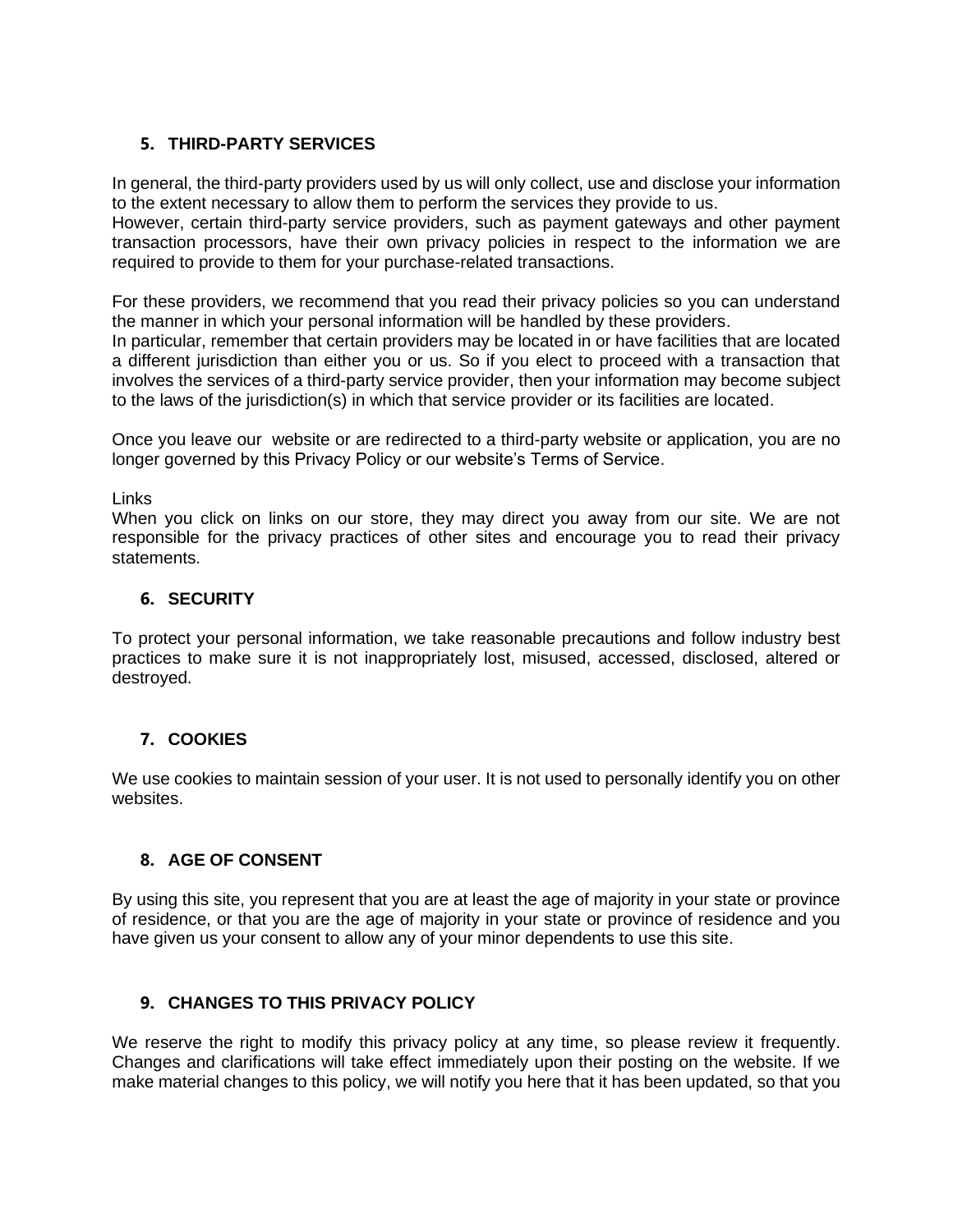# **5. THIRD-PARTY SERVICES**

In general, the third-party providers used by us will only collect, use and disclose your information to the extent necessary to allow them to perform the services they provide to us.

However, certain third-party service providers, such as payment gateways and other payment transaction processors, have their own privacy policies in respect to the information we are required to provide to them for your purchase-related transactions.

For these providers, we recommend that you read their privacy policies so you can understand the manner in which your personal information will be handled by these providers.

In particular, remember that certain providers may be located in or have facilities that are located a different jurisdiction than either you or us. So if you elect to proceed with a transaction that involves the services of a third-party service provider, then your information may become subject to the laws of the jurisdiction(s) in which that service provider or its facilities are located.

Once you leave our website or are redirected to a third-party website or application, you are no longer governed by this Privacy Policy or our website's Terms of Service.

Links

When you click on links on our store, they may direct you away from our site. We are not responsible for the privacy practices of other sites and encourage you to read their privacy statements.

### **6. SECURITY**

To protect your personal information, we take reasonable precautions and follow industry best practices to make sure it is not inappropriately lost, misused, accessed, disclosed, altered or destroyed.

# **7. COOKIES**

We use cookies to maintain session of your user. It is not used to personally identify you on other websites.

# **8. AGE OF CONSENT**

By using this site, you represent that you are at least the age of majority in your state or province of residence, or that you are the age of majority in your state or province of residence and you have given us your consent to allow any of your minor dependents to use this site.

### **9. CHANGES TO THIS PRIVACY POLICY**

We reserve the right to modify this privacy policy at any time, so please review it frequently. Changes and clarifications will take effect immediately upon their posting on the website. If we make material changes to this policy, we will notify you here that it has been updated, so that you